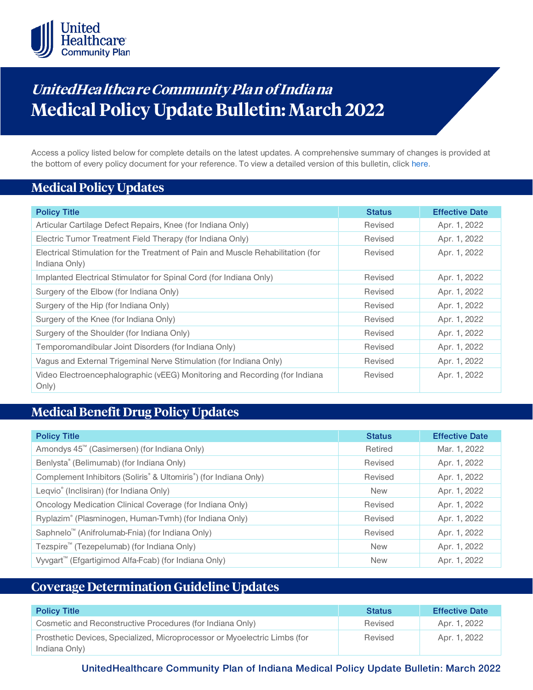

# **UnitedHea lthca re Community Pla n of India na Medical Policy Update Bulletin: March 2022**

Access a policy listed below for complete details on the latest updates. A comprehensive summary of changes is provided at the bottom of every policy document for your reference. To view a detailed version of this bulletin, clic[k here.](https://www.uhcprovider.com/content/dam/provider/docs/public/policies/mpub-archives/comm-plan/in/community-plan-in-medical-policy-update-bulletin-march-2022-full.pdf)

### **Medical Policy Updates**

| <b>Policy Title</b>                                                                              | <b>Status</b> | <b>Effective Date</b> |
|--------------------------------------------------------------------------------------------------|---------------|-----------------------|
| Articular Cartilage Defect Repairs, Knee (for Indiana Only)                                      | Revised       | Apr. 1, 2022          |
| Electric Tumor Treatment Field Therapy (for Indiana Only)                                        | Revised       | Apr. 1, 2022          |
| Electrical Stimulation for the Treatment of Pain and Muscle Rehabilitation (for<br>Indiana Only) | Revised       | Apr. 1, 2022          |
| Implanted Electrical Stimulator for Spinal Cord (for Indiana Only)                               | Revised       | Apr. 1, 2022          |
| Surgery of the Elbow (for Indiana Only)                                                          | Revised       | Apr. 1, 2022          |
| Surgery of the Hip (for Indiana Only)                                                            | Revised       | Apr. 1, 2022          |
| Surgery of the Knee (for Indiana Only)                                                           | Revised       | Apr. 1, 2022          |
| Surgery of the Shoulder (for Indiana Only)                                                       | Revised       | Apr. 1, 2022          |
| Temporomandibular Joint Disorders (for Indiana Only)                                             | Revised       | Apr. 1, 2022          |
| Vagus and External Trigeminal Nerve Stimulation (for Indiana Only)                               | Revised       | Apr. 1, 2022          |
| Video Electroencephalographic (vEEG) Monitoring and Recording (for Indiana<br>Only)              | Revised       | Apr. 1, 2022          |

## **Medical Benefit Drug Policy Updates**

| <b>Policy Title</b>                                                                       | <b>Status</b> | <b>Effective Date</b> |
|-------------------------------------------------------------------------------------------|---------------|-----------------------|
| Amondys 45 <sup>™</sup> (Casimersen) (for Indiana Only)                                   | Retired       | Mar. 1, 2022          |
| Benlysta® (Belimumab) (for Indiana Only)                                                  | Revised       | Apr. 1, 2022          |
| Complement Inhibitors (Soliris <sup>®</sup> & Ultomiris <sup>®</sup> ) (for Indiana Only) | Revised       | Apr. 1, 2022          |
| Leqvio <sup>®</sup> (Inclisiran) (for Indiana Only)                                       | <b>New</b>    | Apr. 1, 2022          |
| Oncology Medication Clinical Coverage (for Indiana Only)                                  | Revised       | Apr. 1, 2022          |
| Ryplazim® (Plasminogen, Human-Tvmh) (for Indiana Only)                                    | Revised       | Apr. 1, 2022          |
| Saphnelo <sup>™</sup> (Anifrolumab-Fnia) (for Indiana Only)                               | Revised       | Apr. 1, 2022          |
| Tezspire <sup>™</sup> (Tezepelumab) (for Indiana Only)                                    | <b>New</b>    | Apr. 1, 2022          |
| Vyvgart <sup>™</sup> (Efgartigimod Alfa-Fcab) (for Indiana Only)                          | <b>New</b>    | Apr. 1, 2022          |

## **Coverage Determination Guideline Updates**

| <b>Policy Title</b>                                                       | <b>Status</b> | <b>Effective Date</b> |
|---------------------------------------------------------------------------|---------------|-----------------------|
| Cosmetic and Reconstructive Procedures (for Indiana Only)                 | Revised       | Apr. 1, 2022          |
| Prosthetic Devices, Specialized, Microprocessor or Myoelectric Limbs (for | Revised       | Apr. 1, 2022          |
| Indiana Only)                                                             |               |                       |

**UnitedHealthcare Community Plan of Indiana Medical Policy Update Bulletin: March 2022**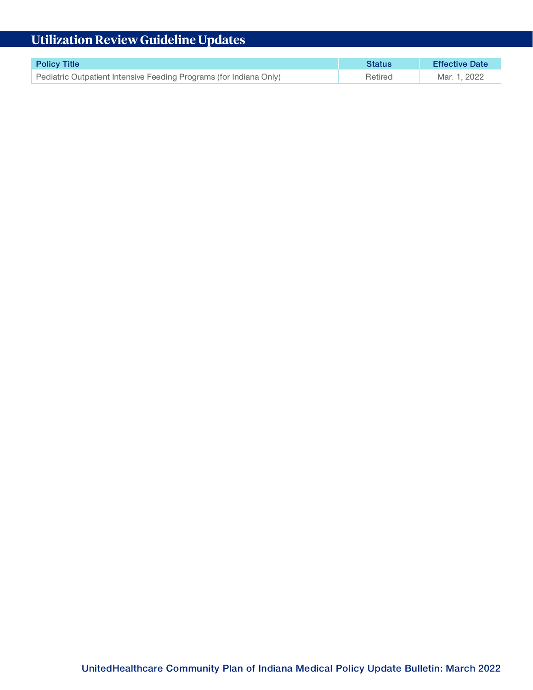# **Utilization Review Guideline Updates**

| <b>Policy Title</b>                                                | Status  | <b>Effective Date</b> |
|--------------------------------------------------------------------|---------|-----------------------|
| Pediatric Outpatient Intensive Feeding Programs (for Indiana Only) | Retired | Mar. 1, 2022          |